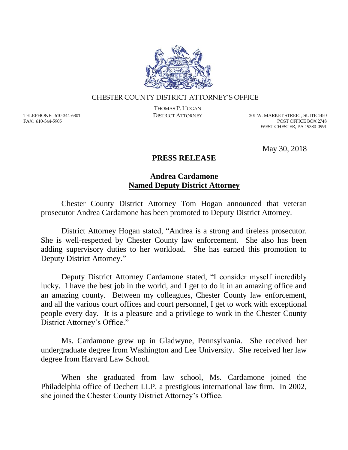

## CHESTER COUNTY DISTRICT ATTORNEY'S OFFICE

TELEPHONE: 610-344-6801 FAX: 610-344-5905

THOMAS P. HOGAN

DISTRICT ATTORNEY 201 W. MARKET STREET, SUITE 4450 POST OFFICE BOX 2748 WEST CHESTER, PA 19380-0991

May 30, 2018

## **PRESS RELEASE**

## **Andrea Cardamone Named Deputy District Attorney**

Chester County District Attorney Tom Hogan announced that veteran prosecutor Andrea Cardamone has been promoted to Deputy District Attorney.

District Attorney Hogan stated, "Andrea is a strong and tireless prosecutor. She is well-respected by Chester County law enforcement. She also has been adding supervisory duties to her workload. She has earned this promotion to Deputy District Attorney."

Deputy District Attorney Cardamone stated, "I consider myself incredibly lucky. I have the best job in the world, and I get to do it in an amazing office and an amazing county. Between my colleagues, Chester County law enforcement, and all the various court offices and court personnel, I get to work with exceptional people every day. It is a pleasure and a privilege to work in the Chester County District Attorney's Office."

Ms. Cardamone grew up in Gladwyne, Pennsylvania. She received her undergraduate degree from Washington and Lee University. She received her law degree from Harvard Law School.

When she graduated from law school, Ms. Cardamone joined the Philadelphia office of Dechert LLP, a prestigious international law firm. In 2002, she joined the Chester County District Attorney's Office.